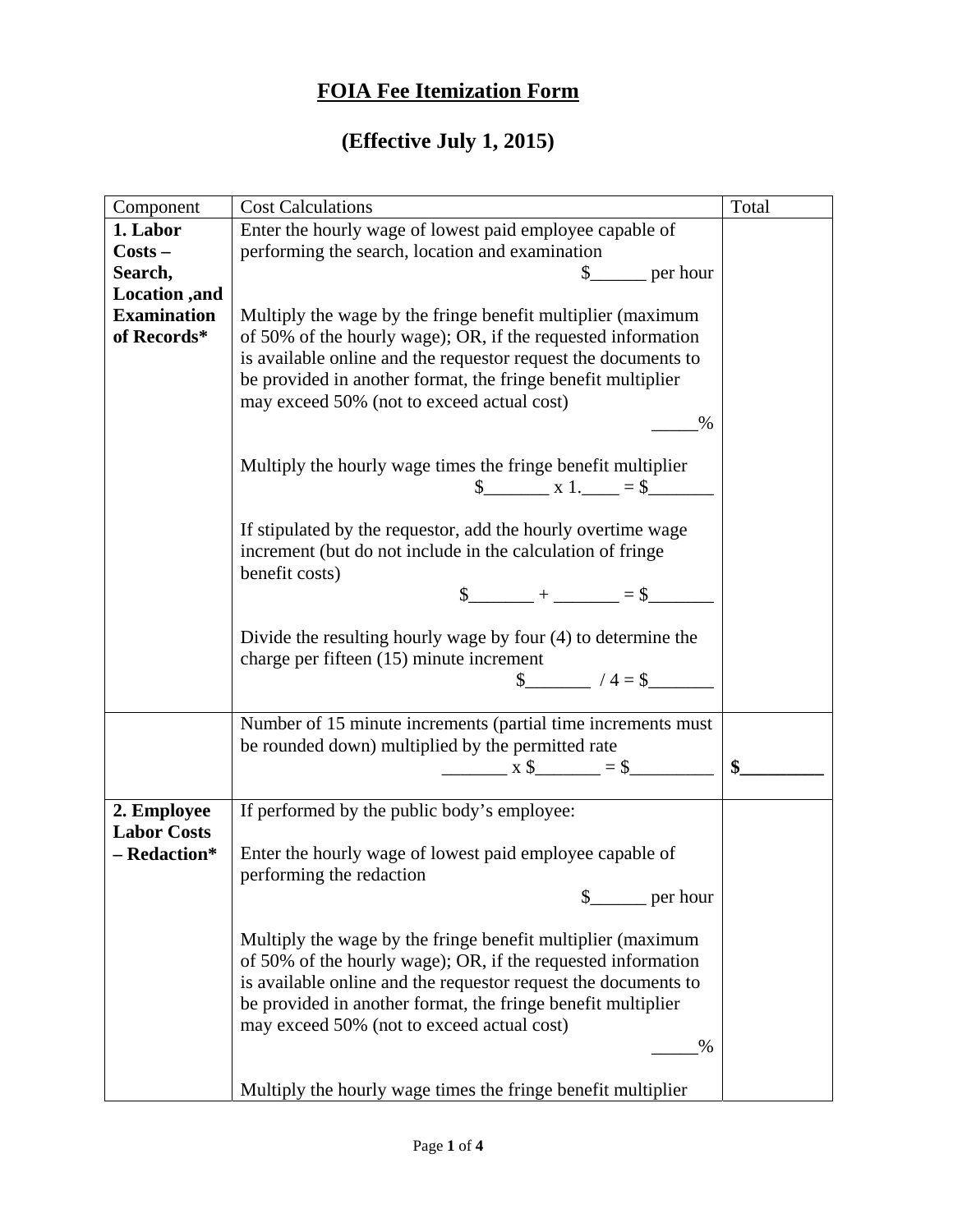## **FOIA Fee Itemization Form**

## **(Effective July 1, 2015)**

| Component          | <b>Cost Calculations</b>                                       | Total |
|--------------------|----------------------------------------------------------------|-------|
| 1. Labor           | Enter the hourly wage of lowest paid employee capable of       |       |
| $Costs -$          | performing the search, location and examination                |       |
| Search,            | $\frac{\S_{\text{max}}}{\S_{\text{max}}}$ per hour             |       |
| Location, and      |                                                                |       |
| <b>Examination</b> | Multiply the wage by the fringe benefit multiplier (maximum    |       |
| of Records*        | of 50% of the hourly wage); OR, if the requested information   |       |
|                    | is available online and the requestor request the documents to |       |
|                    | be provided in another format, the fringe benefit multiplier   |       |
|                    | may exceed 50% (not to exceed actual cost)                     |       |
|                    | $\%$                                                           |       |
|                    |                                                                |       |
|                    | Multiply the hourly wage times the fringe benefit multiplier   |       |
|                    | $\frac{\$$ x 1. $\_\_$ = \$                                    |       |
|                    |                                                                |       |
|                    | If stipulated by the requestor, add the hourly overtime wage   |       |
|                    | increment (but do not include in the calculation of fringe     |       |
|                    | benefit costs)                                                 |       |
|                    | $\frac{1}{2} + \frac{1}{2} = \frac{1}{2}$                      |       |
|                    |                                                                |       |
|                    | Divide the resulting hourly wage by four (4) to determine the  |       |
|                    | charge per fifteen (15) minute increment                       |       |
|                    | $\$\ \hspace{1.5cm} 4 = \$$                                    |       |
|                    |                                                                |       |
|                    | Number of 15 minute increments (partial time increments must   |       |
|                    | be rounded down) multiplied by the permitted rate              | \$    |
|                    |                                                                |       |
| 2. Employee        | If performed by the public body's employee:                    |       |
| <b>Labor Costs</b> |                                                                |       |
| - Redaction*       | Enter the hourly wage of lowest paid employee capable of       |       |
|                    | performing the redaction                                       |       |
|                    | \$<br>per hour                                                 |       |
|                    |                                                                |       |
|                    | Multiply the wage by the fringe benefit multiplier (maximum    |       |
|                    | of 50% of the hourly wage); OR, if the requested information   |       |
|                    | is available online and the requestor request the documents to |       |
|                    | be provided in another format, the fringe benefit multiplier   |       |
|                    | may exceed 50% (not to exceed actual cost)                     |       |
|                    | $\%$                                                           |       |
|                    |                                                                |       |
|                    | Multiply the hourly wage times the fringe benefit multiplier   |       |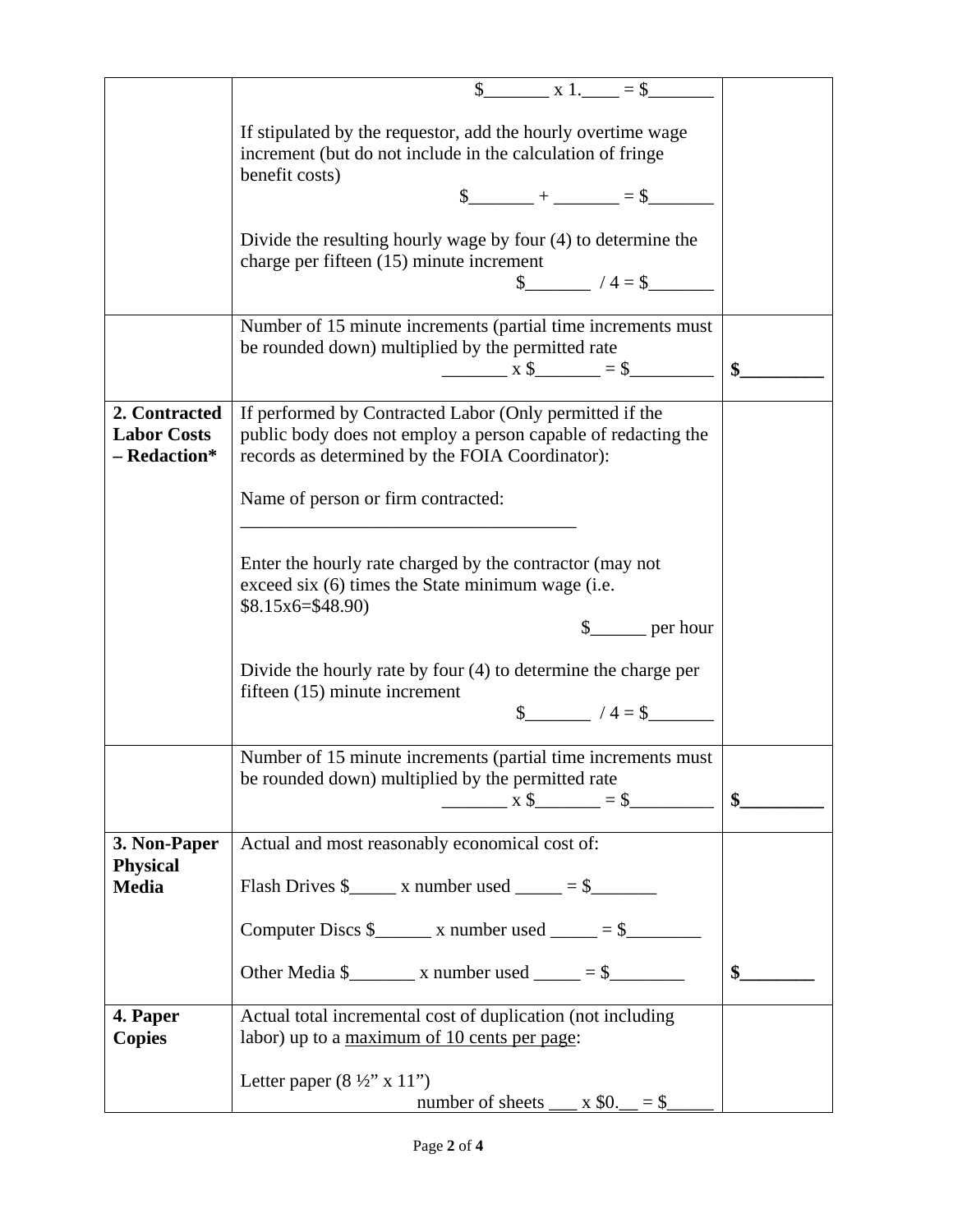|                                                     | $\$\quad x1. = \$$                                                                                                                                                          |        |
|-----------------------------------------------------|-----------------------------------------------------------------------------------------------------------------------------------------------------------------------------|--------|
|                                                     | If stipulated by the requestor, add the hourly overtime wage<br>increment (but do not include in the calculation of fringe<br>benefit costs)                                |        |
|                                                     | $\frac{1}{2}$ + ______ = \$________                                                                                                                                         |        |
|                                                     | Divide the resulting hourly wage by four (4) to determine the<br>charge per fifteen (15) minute increment<br>$\frac{1}{2}$ /4 = \$                                          |        |
|                                                     | Number of 15 minute increments (partial time increments must                                                                                                                |        |
|                                                     | be rounded down) multiplied by the permitted rate                                                                                                                           |        |
|                                                     |                                                                                                                                                                             | \$     |
| 2. Contracted<br><b>Labor Costs</b><br>- Redaction* | If performed by Contracted Labor (Only permitted if the<br>public body does not employ a person capable of redacting the<br>records as determined by the FOIA Coordinator): |        |
|                                                     | Name of person or firm contracted:                                                                                                                                          |        |
|                                                     | Enter the hourly rate charged by the contractor (may not<br>exceed six (6) times the State minimum wage (i.e.<br>$$8.15x6 = $48.90$<br>$\frac{1}{2}$ per hour               |        |
|                                                     | Divide the hourly rate by four $(4)$ to determine the charge per<br>fifteen (15) minute increment<br>$\frac{1}{2}$ /4 = \$                                                  |        |
|                                                     | Number of 15 minute increments (partial time increments must<br>be rounded down) multiplied by the permitted rate<br>$x \, \text{\$}$ = \$                                  | $\sum$ |
| 3. Non-Paper                                        | Actual and most reasonably economical cost of:                                                                                                                              |        |
| <b>Physical</b><br><b>Media</b>                     | Flash Drives $\frac{1}{2}$ x number used _____ = \$_______                                                                                                                  |        |
|                                                     | Computer Discs $\frac{1}{2}$ x number used _____ = \$_________                                                                                                              |        |
|                                                     | Other Media $\frac{1}{2}$ x number used _____ = \$_________                                                                                                                 | \$     |
| 4. Paper                                            | Actual total incremental cost of duplication (not including                                                                                                                 |        |
| <b>Copies</b>                                       | labor) up to a maximum of 10 cents per page:                                                                                                                                |        |
|                                                     | Letter paper $(8 \frac{1}{2}$ " x 11")<br>number of sheets $\_\_\ x \$0 \_\_\ = \$\_$                                                                                       |        |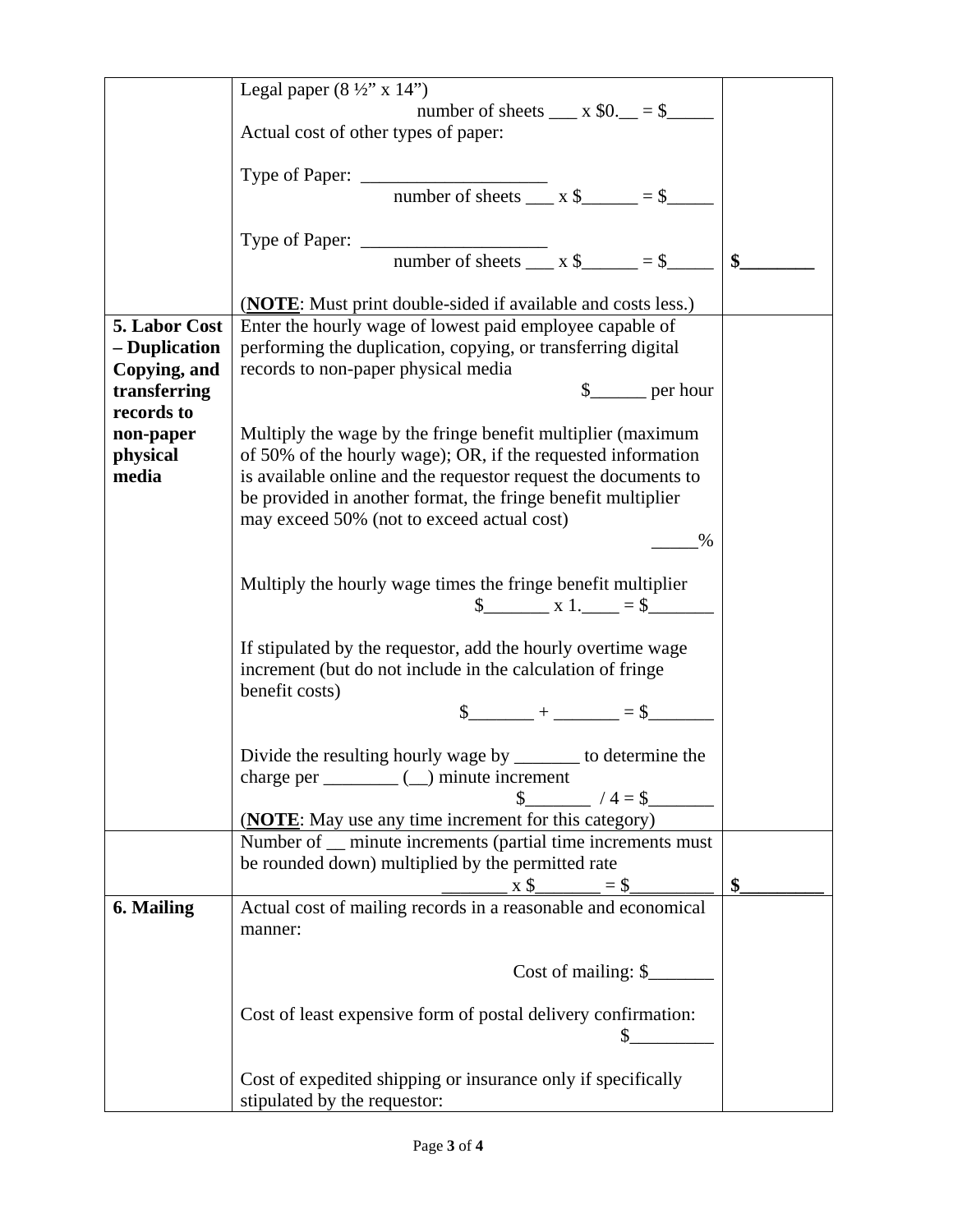|                              | Legal paper $(8 \frac{1}{2}$ " x 14")                                                     |    |
|------------------------------|-------------------------------------------------------------------------------------------|----|
|                              | number of sheets $\_\_\ x \$ $0.$ $\_\_ = \$                                              |    |
|                              | Actual cost of other types of paper:                                                      |    |
|                              |                                                                                           |    |
|                              |                                                                                           |    |
|                              |                                                                                           |    |
|                              |                                                                                           |    |
|                              |                                                                                           |    |
|                              |                                                                                           |    |
|                              |                                                                                           |    |
|                              | ( <b>NOTE</b> : Must print double-sided if available and costs less.)                     |    |
| 5. Labor Cost                | Enter the hourly wage of lowest paid employee capable of                                  |    |
| - Duplication                | performing the duplication, copying, or transferring digital                              |    |
| Copying, and<br>transferring | records to non-paper physical media<br>$\frac{1}{2}$ per hour                             |    |
| records to                   |                                                                                           |    |
| non-paper                    | Multiply the wage by the fringe benefit multiplier (maximum                               |    |
| physical                     | of 50% of the hourly wage); OR, if the requested information                              |    |
| media                        | is available online and the requestor request the documents to                            |    |
|                              | be provided in another format, the fringe benefit multiplier                              |    |
|                              | may exceed 50% (not to exceed actual cost)                                                |    |
|                              | $\%$                                                                                      |    |
|                              |                                                                                           |    |
|                              | Multiply the hourly wage times the fringe benefit multiplier                              |    |
|                              | $\frac{\text{S}}{\text{S}}$ x 1. $=$ $\frac{\text{S}}{\text{S}}$                          |    |
|                              |                                                                                           |    |
|                              | If stipulated by the requestor, add the hourly overtime wage                              |    |
|                              | increment (but do not include in the calculation of fringe                                |    |
|                              | benefit costs)                                                                            |    |
|                              | $\frac{1}{2} + \frac{1}{2} = \frac{1}{2}$                                                 |    |
|                              |                                                                                           |    |
|                              | Divide the resulting hourly wage by _______ to determine the                              |    |
|                              | $\qquad \qquad \_$ ( $\_$ ) minute increment<br>charge per                                |    |
|                              | $/4 = $$                                                                                  |    |
|                              | ( <b>NOTE</b> : May use any time increment for this category)                             |    |
|                              | Number of _ minute increments (partial time increments must                               |    |
|                              | be rounded down) multiplied by the permitted rate                                         |    |
|                              | $x$ \$ $\_\_$ = \$ $\_\_\_$ Actual cost of mailing records in a reasonable and economical | \$ |
| 6. Mailing                   |                                                                                           |    |
|                              | manner:                                                                                   |    |
|                              |                                                                                           |    |
|                              | Cost of mailing: \$                                                                       |    |
|                              |                                                                                           |    |
|                              | Cost of least expensive form of postal delivery confirmation:                             |    |
|                              |                                                                                           |    |
|                              |                                                                                           |    |
|                              | Cost of expedited shipping or insurance only if specifically                              |    |
|                              | stipulated by the requestor:                                                              |    |